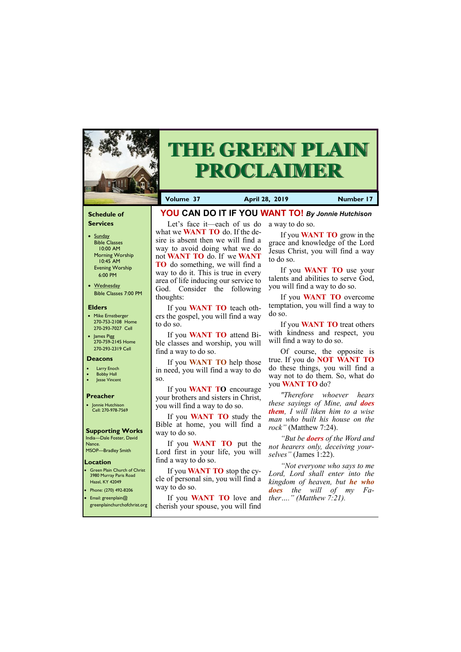#### **Schedule of Services**

- Sunday Bible Classes 10:00 AM Morning Worship 10:45 AM Evening Worship 6:00 PM
- Wednesday Bible Classes 7:00 PM

#### **Elders**

- Mike Ernstberger 270-753-2108 Home 270-293-7027 Cell
- James Pigg 270-759-2145 Home 270-293-2319 Cell

#### **Location**

3980 Murray Paris Road Hazel, KY 42049



# **THE GREEN PLAIN PROCLAIMER**

**Volume 37 April 28, 2019 Number 17**

#### **Deacons**

- **Larry Enoch**
- **Bobby Hall**
- Jesse Vincent

#### **Preacher**

• Jonnie Hutchison Cell: 270-978-7569

### **Supporting Works** India—Dale Foster, David

Nance. MSOP—Bradley Smith  **YOU CAN DO IT IF YOU WANT TO!** *By Jonnie Hutchison*

what we **WANT TO** do. If the desire is absent then we will find a way to avoid doing what we do not **WANT TO** do. If we **WANT TO** do something, we will find a way to do it. This is true in every area of life inducing our service to God. Consider the following

thoughts:

If you **WANT TO** teach others the gospel, you will find a way

to do so.

If you **WANT TO** attend Bible classes and worship, you will

find a way to do so.

Let's face it—each of us do a way to do so.

If you **WANT TO** help those in need, you will find a way to do

so.

**Green Plain Church of Christ** • Phone: (270) 492-8206 • Email: greenplain@ greenplainchurchofchrist.org find a way to do so. If you **WANT TO** stop the cycle of personal sin, you will find a way to do so. If you **WANT TO** love and *ther…." (Matthew 7:21).*cherish your spouse, you will find *"Not everyone who says to me Lord, Lord shall enter into the kingdom of heaven, but he who does the will of my Fa-*

If you **WANT TO** encourage your brothers and sisters in Christ,

you will find a way to do so.

If you **WANT TO** study the Bible at home, you will find a

way to do so.

If you **WANT TO** put the Lord first in your life, you will

If you **WANT TO** grow in the grace and knowledge of the Lord Jesus Christ, you will find a way to do so.

If you **WANT TO** use your talents and abilities to serve God, you will find a way to do so.

If you **WANT TO** overcome temptation, you will find a way to do so.

If you **WANT TO** treat others with kindness and respect, you will find a way to do so.

Of course, the opposite is true. If you do **NOT WANT TO**  do these things, you will find a way not to do them. So, what do you **WANT TO** do?

*"Therefore whoever hears these sayings of Mine, and does them, I will liken him to a wise man who built his house on the rock"* (Matthew 7:24).

*"But be doers of the Word and not hearers only, deceiving yourselves"* (James 1:22).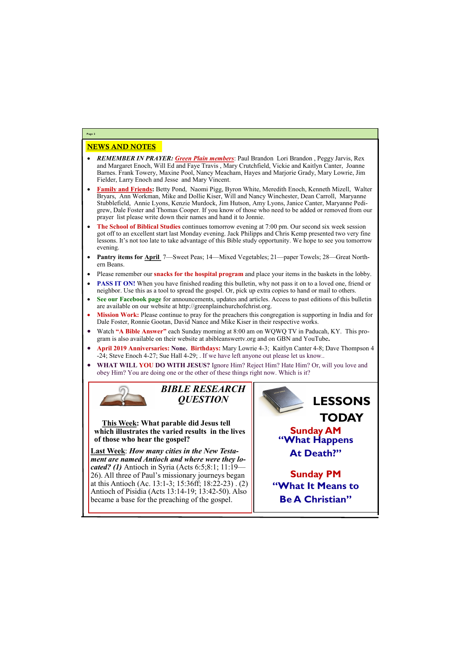## NEWS AND NOTES

- *REMEMBER IN PRAYER: Green Plain members*: Paul Brandon Lori Brandon , Peggy Jarvis, Rex and Margaret Enoch, Will Ed and Faye Travis , Mary Crutchfield, Vickie and Kaitlyn Canter, Joanne Barnes. Frank Towery, Maxine Pool, Nancy Meacham, Hayes and Marjorie Grady, Mary Lowrie, Jim Fielder, Larry Enoch and Jesse and Mary Vincent.
- **Family and Friends:** Betty Pond, Naomi Pigg, Byron White, Meredith Enoch, Kenneth Mizell, Walter Bryars, Ann Workman, Mike and Dollie Kiser, Will and Nancy Winchester, Dean Carroll, Maryanne Stubblefield, Annie Lyons, Kenzie Murdock, Jim Hutson, Amy Lyons, Janice Canter, Maryanne Pedigrew, Dale Foster and Thomas Cooper. If you know of those who need to be added or removed from our prayer list please write down their names and hand it to Jonnie.
- **The School of Biblical Studies** continues tomorrow evening at 7:00 pm. Our second six week session got off to an excellent start last Monday evening. Jack Philipps and Chris Kemp presented two very fine lessons. It's not too late to take advantage of this Bible study opportunity. We hope to see you tomorrow evening.
- **Pantry items for April** 7—Sweet Peas; 14—Mixed Vegetables; 21—paper Towels; 28—Great Northern Beans.
- Please remember our **snacks for the hospital program** and place your items in the baskets in the lobby.
- **PASS IT ON!** When you have finished reading this bulletin, why not pass it on to a loved one, friend or neighbor. Use this as a tool to spread the gospel. Or, pick up extra copies to hand or mail to others.
- **See our Facebook page** for announcements, updates and articles. Access to past editions of this bulletin are available on our website at http://greenplainchurchofchrist.org.
- **Mission Work:** Please continue to pray for the preachers this congregation is supporting in India and for Dale Foster, Ronnie Gootan, David Nance and Mike Kiser in their respective works.
- Watch **"A Bible Answer"** each Sunday morning at 8:00 am on WQWQ TV in Paducah, KY. This program is also available on their website at abibleanswertv.org and on GBN and YouTube**.**
- **April 2019 Anniversaries: None. Birthdays:** Mary Lowrie 4-3; Kaitlyn Canter 4-8; Dave Thompson 4 -24; Steve Enoch 4-27; Sue Hall 4-29; . If we have left anyone out please let us know..
- **WHAT WILL YOU DO WITH JESUS?** Ignore Him? Reject Him? Hate Him? Or, will you love and obey Him? You are doing one or the other of these things right now. Which is it?



**Page 2**

*BIBLE RESEARCH QUESTION*

**This Week: What parable did Jesus tell which illustrates the varied results in the lives of those who hear the gospel?**

**Last Week**: *How many cities in the New Testament are named Antioch and where were they located? (1)* Antioch in Syria (Acts 6:5;8:1; 11:19— 26). All three of Paul's missionary journeys began at this Antioch (Ac. 13:1-3; 15:36ff; 18:22-23) . (2) Antioch of Pisidia (Acts 13:14-19; 13:42-50). Also

became a base for the preaching of the gospel.



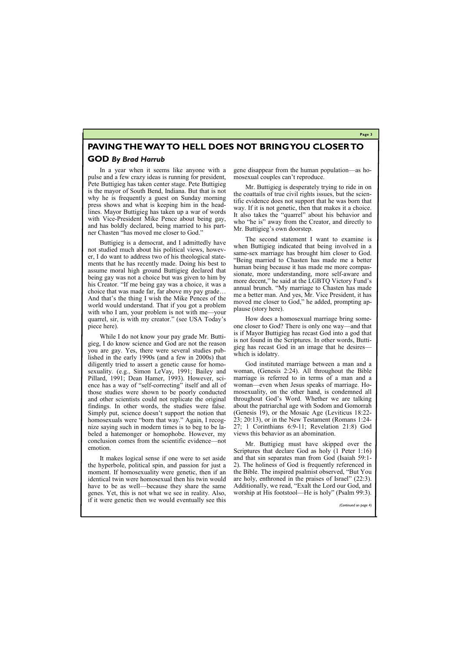**Page 3**

# **PAVING THE WAY TO HELL DOES NOT BRING YOU CLOSER TO GOD** *By Brad Harrub*

In a year when it seems like anyone with a pulse and a few crazy ideas is running for president, Pete Buttigieg has taken center stage. Pete Buttigieg is the mayor of South Bend, Indiana. But that is not why he is frequently a guest on Sunday morning press shows and what is keeping him in the headlines. Mayor Buttigieg has taken up a war of words with Vice-President Mike Pence about being gay, and has boldly declared, being married to his partner Chasten "has moved me closer to God."

Buttigieg is a democrat, and I admittedly have not studied much about his political views, however, I do want to address two of his theological statements that he has recently made. Doing his best to assume moral high ground Buttigieg declared that being gay was not a choice but was given to him by his Creator. "If me being gay was a choice, it was a choice that was made far, far above my pay grade… And that's the thing I wish the Mike Pences of the world would understand. That if you got a problem with who I am, your problem is not with me—your quarrel, sir, is with my creator." (see USA Today's piece here).

While I do not know your pay grade Mr. Buttigieg, I do know science and God are not the reason you are gay. Yes, there were several studies published in the early 1990s (and a few in 2000s) that diligently tried to assert a genetic cause for homosexuality. (e.g., Simon LeVay, 1991; Bailey and Pillard, 1991; Dean Hamer, 1993). However, science has a way of "self-correcting" itself and all of those studies were shown to be poorly conducted and other scientists could not replicate the original findings. In other words, the studies were false. Simply put, science doesn't support the notion that homosexuals were "born that way." Again, I recognize saying such in modern times is to beg to be labeled a hatemonger or homophobe. However, my conclusion comes from the scientific evidence—not emotion.

It makes logical sense if one were to set aside the hyperbole, political spin, and passion for just a moment. If homosexuality were genetic, then if an identical twin were homosexual then his twin would have to be as well—because they share the same

gene disappear from the human population—as homosexual couples can't reproduce.

Mr. Buttigieg is desperately trying to ride in on the coattails of true civil rights issues, but the scientific evidence does not support that he was born that way. If it is not genetic, then that makes it a choice. It also takes the "quarrel" about his behavior and who "he is" away from the Creator, and directly to Mr. Buttigieg's own doorstep.

The second statement I want to examine is when Buttigieg indicated that being involved in a same-sex marriage has brought him closer to God. "Being married to Chasten has made me a better human being because it has made me more compassionate, more understanding, more self-aware and more decent," he said at the LGBTQ Victory Fund's annual brunch. "My marriage to Chasten has made me a better man. And yes, Mr. Vice President, it has moved me closer to God," he added, prompting applause (story here).

genes. Yet, this is not what we see in reality. Also, if it were genetic then we would eventually see this worship at His footstool—He is holy" (Psalm 99:3). *(Continued on page 4)*

How does a homosexual marriage bring someone closer to God? There is only one way—and that is if Mayor Buttigieg has recast God into a god that is not found in the Scriptures. In other words, Buttigieg has recast God in an image that he desires which is idolatry.

God instituted marriage between a man and a woman, (Genesis 2:24). All throughout the Bible marriage is referred to in terms of a man and a woman—even when Jesus speaks of marriage. Homosexuality, on the other hand, is condemned all throughout God's Word. Whether we are talking about the patriarchal age with Sodom and Gomorrah (Genesis 19), or the Mosaic Age (Leviticus 18:22- 23; 20:13), or in the New Testament (Romans 1:24- 27; 1 Corinthians 6:9-11; Revelation 21:8) God views this behavior as an abomination.

Mr. Buttigieg must have skipped over the Scriptures that declare God as holy (1 Peter 1:16) and that sin separates man from God (Isaiah 59:1- 2). The holiness of God is frequently referenced in the Bible. The inspired psalmist observed, "But You are holy, enthroned in the praises of Israel" (22:3). Additionally, we read, "Exalt the Lord our God, and